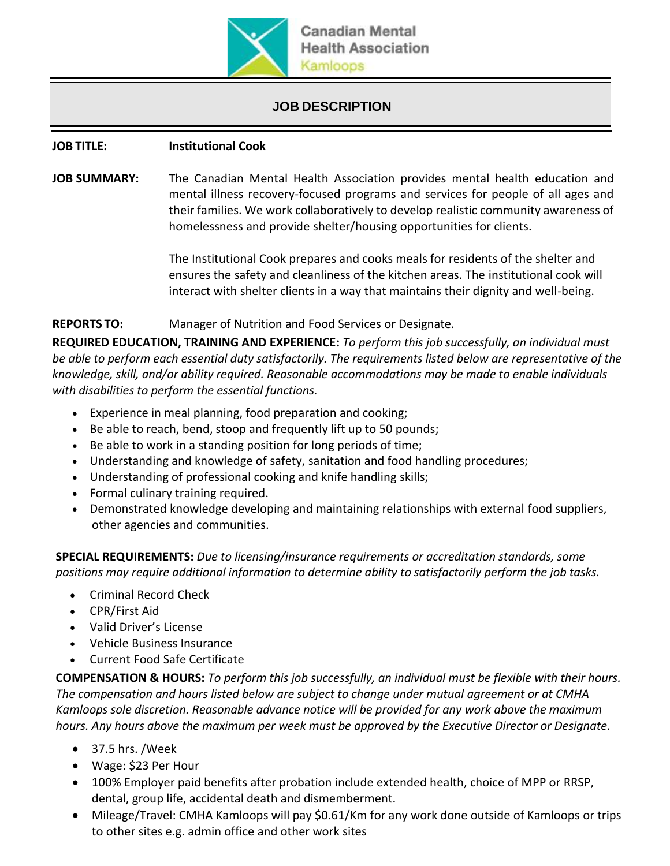

# **JOB DESCRIPTION**

# **JOB TITLE: Institutional Cook**

**JOB SUMMARY:** The Canadian Mental Health Association provides mental health education and mental illness recovery-focused programs and services for people of all ages and their families. We work collaboratively to develop realistic community awareness of homelessness and provide shelter/housing opportunities for clients.

> The Institutional Cook prepares and cooks meals for residents of the shelter and ensures the safety and cleanliness of the kitchen areas. The institutional cook will interact with shelter clients in a way that maintains their dignity and well-being.

# **REPORTS TO:** Manager of Nutrition and Food Services or Designate.

**REQUIRED EDUCATION, TRAINING AND EXPERIENCE:** *To perform this job successfully, an individual must be able to perform each essential duty satisfactorily. The requirements listed below are representative of the knowledge, skill, and/or ability required. Reasonable accommodations may be made to enable individuals with disabilities to perform the essential functions.*

- Experience in meal planning, food preparation and cooking;
- Be able to reach, bend, stoop and frequently lift up to 50 pounds;
- Be able to work in a standing position for long periods of time;
- Understanding and knowledge of safety, sanitation and food handling procedures;
- Understanding of professional cooking and knife handling skills;
- Formal culinary training required.
- Demonstrated knowledge developing and maintaining relationships with external food suppliers, other agencies and communities.

**SPECIAL REQUIREMENTS:** *Due to licensing/insurance requirements or accreditation standards, some positions may require additional information to determine ability to satisfactorily perform the job tasks.*

- Criminal Record Check
- CPR/First Aid
- Valid Driver's License
- Vehicle Business Insurance
- Current Food Safe Certificate

**COMPENSATION & HOURS:** *To perform this job successfully, an individual must be flexible with their hours. The compensation and hours listed below are subject to change under mutual agreement or at CMHA Kamloops sole discretion. Reasonable advance notice will be provided for any work above the maximum hours. Any hours above the maximum per week must be approved by the Executive Director or Designate.*

- 37.5 hrs. /Week
- Wage: \$23 Per Hour
- 100% Employer paid benefits after probation include extended health, choice of MPP or RRSP, dental, group life, accidental death and dismemberment.
- Mileage/Travel: CMHA Kamloops will pay \$0.61/Km for any work done outside of Kamloops or trips to other sites e.g. admin office and other work sites